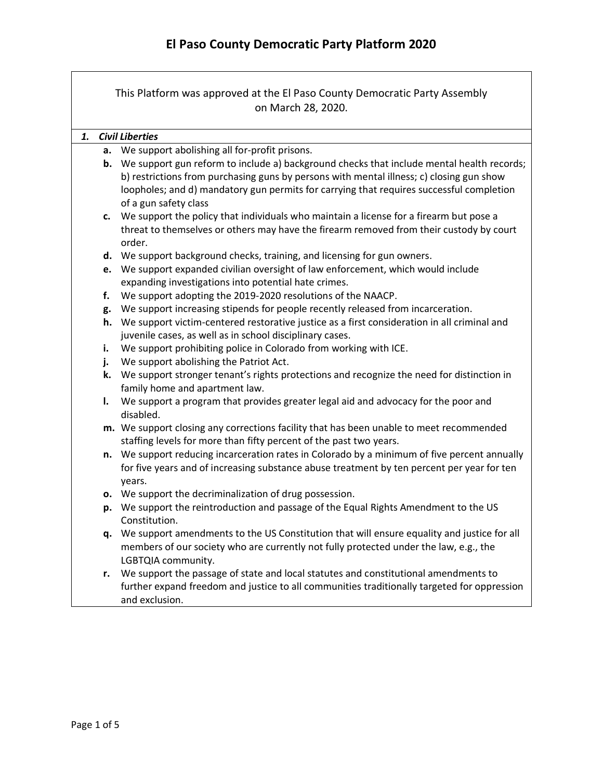This Platform was approved at the El Paso County Democratic Party Assembly on March 28, 2020.

## *1. Civil Liberties*

- **a.** We support abolishing all for-profit prisons.
- **b.** We support gun reform to include a) background checks that include mental health records; b) restrictions from purchasing guns by persons with mental illness; c) closing gun show loopholes; and d) mandatory gun permits for carrying that requires successful completion of a gun safety class
- **c.** We support the policy that individuals who maintain a license for a firearm but pose a threat to themselves or others may have the firearm removed from their custody by court order.
- **d.** We support background checks, training, and licensing for gun owners.
- **e.** We support expanded civilian oversight of law enforcement, which would include expanding investigations into potential hate crimes.
- **f.** We support adopting the 2019-2020 resolutions of the NAACP.
- **g.** We support increasing stipends for people recently released from incarceration.
- **h.** We support victim-centered restorative justice as a first consideration in all criminal and juvenile cases, as well as in school disciplinary cases.
- **i.** We support prohibiting police in Colorado from working with ICE.
- **j.** We support abolishing the Patriot Act.
- **k.** We support stronger tenant's rights protections and recognize the need for distinction in family home and apartment law.
- **l.** We support a program that provides greater legal aid and advocacy for the poor and disabled.
- **m.** We support closing any corrections facility that has been unable to meet recommended staffing levels for more than fifty percent of the past two years.
- **n.** We support reducing incarceration rates in Colorado by a minimum of five percent annually for five years and of increasing substance abuse treatment by ten percent per year for ten years.
- **o.** We support the decriminalization of drug possession.
- **p.** We support the reintroduction and passage of the Equal Rights Amendment to the US Constitution.
- **q.** We support amendments to the US Constitution that will ensure equality and justice for all members of our society who are currently not fully protected under the law, e.g., the LGBTQIA community.
- **r.** We support the passage of state and local statutes and constitutional amendments to further expand freedom and justice to all communities traditionally targeted for oppression and exclusion.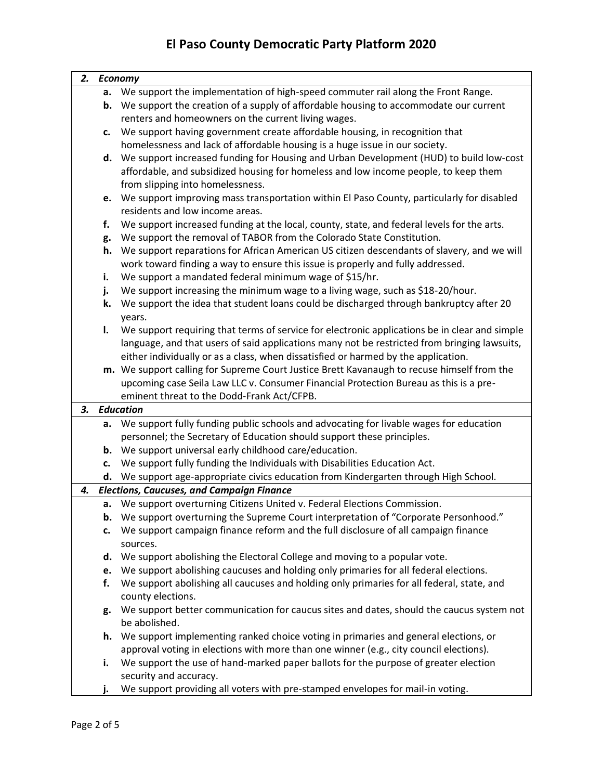## **El Paso County Democratic Party Platform 2020**

| 2. |    | <b>Economy</b>                                                                                                                                                                    |
|----|----|-----------------------------------------------------------------------------------------------------------------------------------------------------------------------------------|
|    | а. | We support the implementation of high-speed commuter rail along the Front Range.                                                                                                  |
|    | b. | We support the creation of a supply of affordable housing to accommodate our current                                                                                              |
|    |    | renters and homeowners on the current living wages.                                                                                                                               |
|    | c. | We support having government create affordable housing, in recognition that                                                                                                       |
|    |    | homelessness and lack of affordable housing is a huge issue in our society.                                                                                                       |
|    | d. | We support increased funding for Housing and Urban Development (HUD) to build low-cost                                                                                            |
|    |    | affordable, and subsidized housing for homeless and low income people, to keep them                                                                                               |
|    |    | from slipping into homelessness.                                                                                                                                                  |
|    | e. | We support improving mass transportation within El Paso County, particularly for disabled                                                                                         |
|    |    | residents and low income areas.                                                                                                                                                   |
|    | f. | We support increased funding at the local, county, state, and federal levels for the arts.                                                                                        |
|    | g. | We support the removal of TABOR from the Colorado State Constitution.                                                                                                             |
|    | h. | We support reparations for African American US citizen descendants of slavery, and we will                                                                                        |
|    |    | work toward finding a way to ensure this issue is properly and fully addressed.                                                                                                   |
|    | i. | We support a mandated federal minimum wage of \$15/hr.                                                                                                                            |
|    | j. | We support increasing the minimum wage to a living wage, such as \$18-20/hour.                                                                                                    |
|    | k. | We support the idea that student loans could be discharged through bankruptcy after 20                                                                                            |
|    |    | years.                                                                                                                                                                            |
|    | I. | We support requiring that terms of service for electronic applications be in clear and simple                                                                                     |
|    |    | language, and that users of said applications many not be restricted from bringing lawsuits,                                                                                      |
|    |    | either individually or as a class, when dissatisfied or harmed by the application.                                                                                                |
|    |    | m. We support calling for Supreme Court Justice Brett Kavanaugh to recuse himself from the                                                                                        |
|    |    | upcoming case Seila Law LLC v. Consumer Financial Protection Bureau as this is a pre-                                                                                             |
|    |    | eminent threat to the Dodd-Frank Act/CFPB.                                                                                                                                        |
| 3. |    | <b>Education</b>                                                                                                                                                                  |
|    | а. | We support fully funding public schools and advocating for livable wages for education                                                                                            |
|    |    | personnel; the Secretary of Education should support these principles.                                                                                                            |
|    | b. | We support universal early childhood care/education.                                                                                                                              |
|    | c. | We support fully funding the Individuals with Disabilities Education Act.                                                                                                         |
|    | d. | We support age-appropriate civics education from Kindergarten through High School.                                                                                                |
| 4. |    | <b>Elections, Caucuses, and Campaign Finance</b>                                                                                                                                  |
|    |    | a. We support overturning Citizens United v. Federal Elections Commission.                                                                                                        |
|    | b. | We support overturning the Supreme Court interpretation of "Corporate Personhood."                                                                                                |
|    | c. | We support campaign finance reform and the full disclosure of all campaign finance                                                                                                |
|    |    | sources.                                                                                                                                                                          |
|    | d. | We support abolishing the Electoral College and moving to a popular vote.                                                                                                         |
|    | e. | We support abolishing caucuses and holding only primaries for all federal elections.<br>We support abolishing all caucuses and holding only primaries for all federal, state, and |
|    | f. |                                                                                                                                                                                   |
|    |    | county elections.<br>We support better communication for caucus sites and dates, should the caucus system not                                                                     |
|    | g. | be abolished.                                                                                                                                                                     |
|    | h. | We support implementing ranked choice voting in primaries and general elections, or                                                                                               |
|    |    | approval voting in elections with more than one winner (e.g., city council elections).                                                                                            |
|    | i. | We support the use of hand-marked paper ballots for the purpose of greater election                                                                                               |
|    |    | security and accuracy.                                                                                                                                                            |
|    |    | e elludeaux utilizare proposano de proposano formos il in unitiro                                                                                                                 |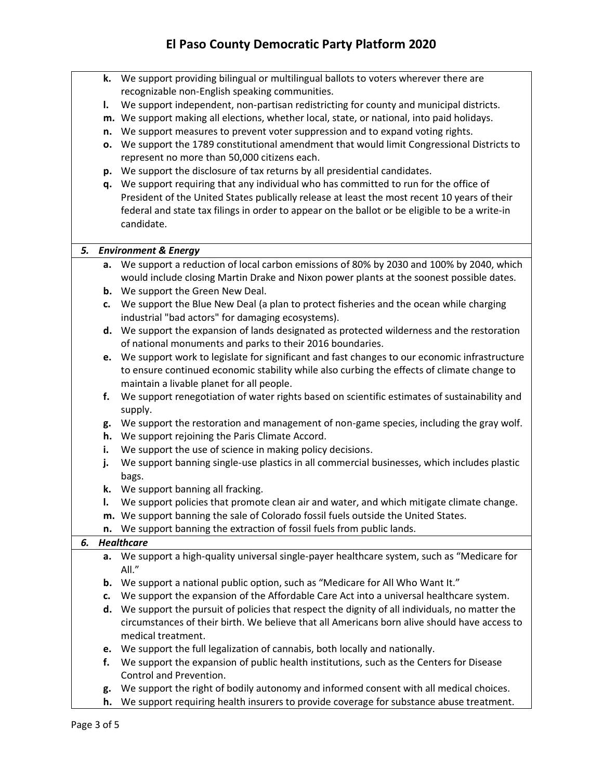|    | k. | We support providing bilingual or multilingual ballots to voters wherever there are                                                  |
|----|----|--------------------------------------------------------------------------------------------------------------------------------------|
|    |    | recognizable non-English speaking communities.                                                                                       |
|    | ı. | We support independent, non-partisan redistricting for county and municipal districts.                                               |
|    |    | m. We support making all elections, whether local, state, or national, into paid holidays.                                           |
|    | n. | We support measures to prevent voter suppression and to expand voting rights.                                                        |
|    | о. | We support the 1789 constitutional amendment that would limit Congressional Districts to                                             |
|    |    | represent no more than 50,000 citizens each.                                                                                         |
|    | p. | We support the disclosure of tax returns by all presidential candidates.                                                             |
|    | q. | We support requiring that any individual who has committed to run for the office of                                                  |
|    |    | President of the United States publically release at least the most recent 10 years of their                                         |
|    |    | federal and state tax filings in order to appear on the ballot or be eligible to be a write-in                                       |
|    |    | candidate.                                                                                                                           |
|    |    |                                                                                                                                      |
|    |    | 5. Environment & Energy                                                                                                              |
|    | а. | We support a reduction of local carbon emissions of 80% by 2030 and 100% by 2040, which                                              |
|    |    | would include closing Martin Drake and Nixon power plants at the soonest possible dates.<br><b>b.</b> We support the Green New Deal. |
|    | c. | We support the Blue New Deal (a plan to protect fisheries and the ocean while charging                                               |
|    |    | industrial "bad actors" for damaging ecosystems).                                                                                    |
|    |    | d. We support the expansion of lands designated as protected wilderness and the restoration                                          |
|    |    | of national monuments and parks to their 2016 boundaries.                                                                            |
|    |    | We support work to legislate for significant and fast changes to our economic infrastructure                                         |
|    | e. | to ensure continued economic stability while also curbing the effects of climate change to                                           |
|    |    | maintain a livable planet for all people.                                                                                            |
|    | f. | We support renegotiation of water rights based on scientific estimates of sustainability and                                         |
|    |    | supply.                                                                                                                              |
|    | g. | We support the restoration and management of non-game species, including the gray wolf.                                              |
|    | h. | We support rejoining the Paris Climate Accord.                                                                                       |
|    | i. | We support the use of science in making policy decisions.                                                                            |
|    | j. | We support banning single-use plastics in all commercial businesses, which includes plastic                                          |
|    |    | bags.                                                                                                                                |
|    | k. | We support banning all fracking.                                                                                                     |
|    | I. | We support policies that promote clean air and water, and which mitigate climate change.                                             |
|    |    | m. We support banning the sale of Colorado fossil fuels outside the United States.                                                   |
|    | n. | We support banning the extraction of fossil fuels from public lands.                                                                 |
| 6. |    | <b>Healthcare</b>                                                                                                                    |
|    | а. | We support a high-quality universal single-payer healthcare system, such as "Medicare for                                            |
|    |    | All."                                                                                                                                |
|    | b. | We support a national public option, such as "Medicare for All Who Want It."                                                         |
|    | c. | We support the expansion of the Affordable Care Act into a universal healthcare system.                                              |
|    | d. | We support the pursuit of policies that respect the dignity of all individuals, no matter the                                        |
|    |    | circumstances of their birth. We believe that all Americans born alive should have access to                                         |
|    |    | medical treatment.                                                                                                                   |
|    | e. | We support the full legalization of cannabis, both locally and nationally.                                                           |
|    | f. | We support the expansion of public health institutions, such as the Centers for Disease                                              |
|    |    | Control and Prevention.                                                                                                              |
|    | g. | We support the right of bodily autonomy and informed consent with all medical choices.                                               |
|    | h. | We support requiring health insurers to provide coverage for substance abuse treatment.                                              |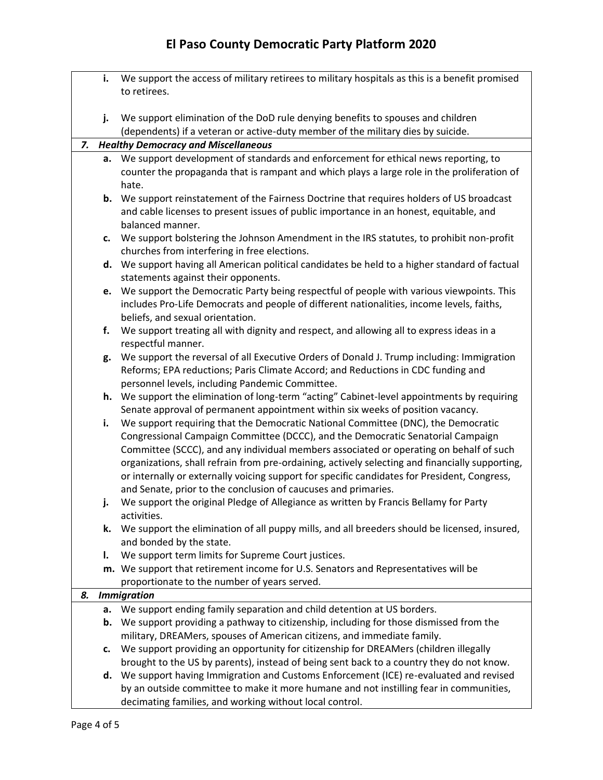## **El Paso County Democratic Party Platform 2020**

|    | i. | We support the access of military retirees to military hospitals as this is a benefit promised                                                 |
|----|----|------------------------------------------------------------------------------------------------------------------------------------------------|
|    |    | to retirees.                                                                                                                                   |
|    |    |                                                                                                                                                |
|    | j. | We support elimination of the DoD rule denying benefits to spouses and children                                                                |
|    |    | (dependents) if a veteran or active-duty member of the military dies by suicide.                                                               |
| 7. |    | <b>Healthy Democracy and Miscellaneous</b>                                                                                                     |
|    |    | a. We support development of standards and enforcement for ethical news reporting, to                                                          |
|    |    | counter the propaganda that is rampant and which plays a large role in the proliferation of                                                    |
|    |    | hate.                                                                                                                                          |
|    |    | <b>b.</b> We support reinstatement of the Fairness Doctrine that requires holders of US broadcast                                              |
|    |    | and cable licenses to present issues of public importance in an honest, equitable, and                                                         |
|    |    | balanced manner.                                                                                                                               |
|    | c. | We support bolstering the Johnson Amendment in the IRS statutes, to prohibit non-profit                                                        |
|    |    | churches from interfering in free elections.<br>d. We support having all American political candidates be held to a higher standard of factual |
|    |    | statements against their opponents.                                                                                                            |
|    | e. | We support the Democratic Party being respectful of people with various viewpoints. This                                                       |
|    |    | includes Pro-Life Democrats and people of different nationalities, income levels, faiths,                                                      |
|    |    | beliefs, and sexual orientation.                                                                                                               |
|    | f. | We support treating all with dignity and respect, and allowing all to express ideas in a                                                       |
|    |    | respectful manner.                                                                                                                             |
|    | g. | We support the reversal of all Executive Orders of Donald J. Trump including: Immigration                                                      |
|    |    | Reforms; EPA reductions; Paris Climate Accord; and Reductions in CDC funding and                                                               |
|    |    | personnel levels, including Pandemic Committee.                                                                                                |
|    |    | h. We support the elimination of long-term "acting" Cabinet-level appointments by requiring                                                    |
|    |    | Senate approval of permanent appointment within six weeks of position vacancy.                                                                 |
|    | i. | We support requiring that the Democratic National Committee (DNC), the Democratic                                                              |
|    |    | Congressional Campaign Committee (DCCC), and the Democratic Senatorial Campaign                                                                |
|    |    | Committee (SCCC), and any individual members associated or operating on behalf of such                                                         |
|    |    | organizations, shall refrain from pre-ordaining, actively selecting and financially supporting,                                                |
|    |    | or internally or externally voicing support for specific candidates for President, Congress,                                                   |
|    |    | and Senate, prior to the conclusion of caucuses and primaries.                                                                                 |
|    | j. | We support the original Pledge of Allegiance as written by Francis Bellamy for Party                                                           |
|    |    | activities.                                                                                                                                    |
|    | k. | We support the elimination of all puppy mills, and all breeders should be licensed, insured,                                                   |
|    | I. | and bonded by the state.<br>We support term limits for Supreme Court justices.                                                                 |
|    |    | m. We support that retirement income for U.S. Senators and Representatives will be                                                             |
|    |    | proportionate to the number of years served.                                                                                                   |
| 8. |    | <b>Immigration</b>                                                                                                                             |
|    |    | a. We support ending family separation and child detention at US borders.                                                                      |
|    |    | <b>b.</b> We support providing a pathway to citizenship, including for those dismissed from the                                                |
|    |    | military, DREAMers, spouses of American citizens, and immediate family.                                                                        |
|    | c. | We support providing an opportunity for citizenship for DREAMers (children illegally                                                           |
|    |    | brought to the US by parents), instead of being sent back to a country they do not know.                                                       |
|    | d. | We support having Immigration and Customs Enforcement (ICE) re-evaluated and revised                                                           |
|    |    | by an outside committee to make it more humane and not instilling fear in communities,                                                         |
|    |    | decimating families, and working without local control.                                                                                        |
|    |    |                                                                                                                                                |